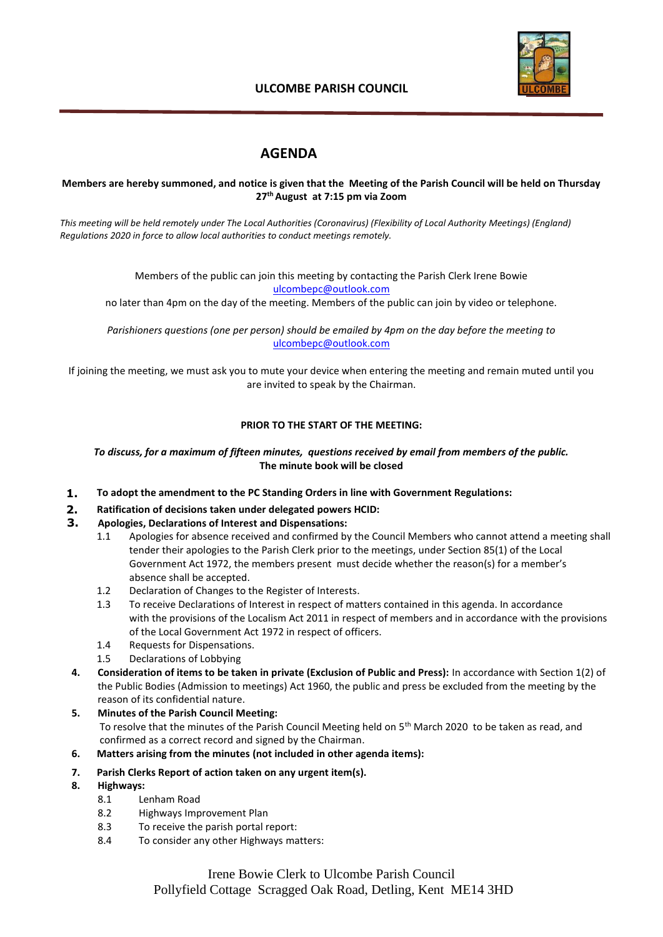

# **ULCOMBE PARISH COUNCIL**

# **AGENDA**

#### **Members are hereby summoned, and notice is given that the Meeting of the Parish Council will be held on Thursday 27th August at 7:15 pm via Zoom**

*This meeting will be held remotely under The Local Authorities (Coronavirus) (Flexibility of Local Authority Meetings) (England) Regulations 2020 in force to allow local authorities to conduct meetings remotely.*

> Members of the public can join this meeting by contacting the Parish Clerk Irene Bowie [ulcombepc@outlook.com](mailto:ulcombepc@outlook.com)

no later than 4pm on the day of the meeting. Members of the public can join by video or telephone.

*Parishioners questions (one per person) should be emailed by 4pm on the day before the meeting to* [ulcombepc@outlook.com](mailto:ulcombepc@outlook.com)

If joining the meeting, we must ask you to mute your device when entering the meeting and remain muted until you are invited to speak by the Chairman.

## **PRIOR TO THE START OF THE MEETING:**

#### *To discuss, for a maximum of fifteen minutes, questions received by email from members of the public.* **The minute book will be closed**

- **1. To adopt the amendment to the PC Standing Orders in line with Government Regulations:**
- **2. Ratification of decisions taken under delegated powers HCID:**
- **3. Apologies, Declarations of Interest and Dispensations:**
	- 1.1 Apologies for absence received and confirmed by the Council Members who cannot attend a meeting shall tender their apologies to the Parish Clerk prior to the meetings, under Section 85(1) of the Local Government Act 1972, the members present must decide whether the reason(s) for a member's absence shall be accepted.
	- 1.2 Declaration of Changes to the Register of Interests.
	- 1.3 To receive Declarations of Interest in respect of matters contained in this agenda. In accordance with the provisions of the Localism Act 2011 in respect of members and in accordance with the provisions of the Local Government Act 1972 in respect of officers.
	- 1.4 Requests for Dispensations.
	- 1.5 Declarations of Lobbying
- **4. Consideration of items to be taken in private (Exclusion of Public and Press):** In accordance with Section 1(2) of the Public Bodies (Admission to meetings) Act 1960, the public and press be excluded from the meeting by the reason of its confidential nature.
- **5. Minutes of the Parish Council Meeting:**  To resolve that the minutes of the Parish Council Meeting held on 5<sup>th</sup> March 2020 to be taken as read, and confirmed as a correct record and signed by the Chairman.
- **6. Matters arising from the minutes (not included in other agenda items):**
- **7. Parish Clerks Report of action taken on any urgent item(s).**
- **8. Highways:**
	- 8.1 Lenham Road
	- 8.2 Highways Improvement Plan
	- 8.3 To receive the parish portal report:
	- 8.4 To consider any other Highways matters:

Irene Bowie Clerk to Ulcombe Parish Council Pollyfield Cottage Scragged Oak Road, Detling, Kent ME14 3HD